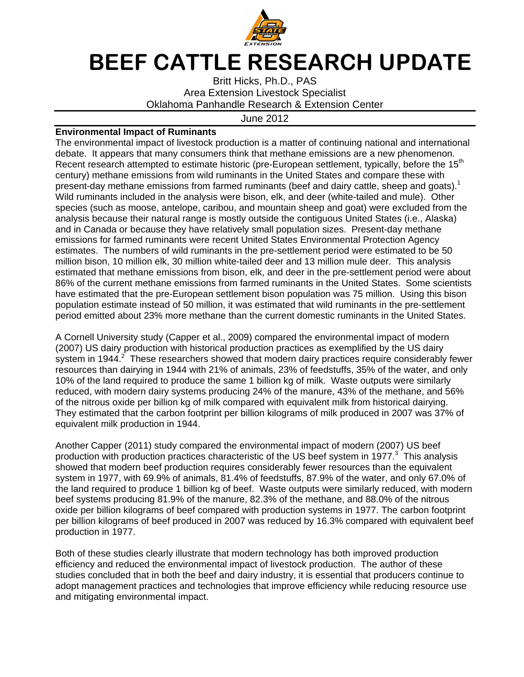

## BEEF CATTLE RESEARCH UPDATE

Britt Hicks, Ph.D., PAS Area Extension Livestock Specialist Oklahoma Panhandle Research & Extension Center

## June 2012

## **Environmental Impact of Ruminants**

The environmental impact of livestock production is a matter of continuing national and international debate. It appears that many consumers think that methane emissions are a new phenomenon. Recent research attempted to estimate historic (pre-European settlement, typically, before the 15<sup>th</sup> century) methane emissions from wild ruminants in the United States and compare these with present-day methane emissions from farmed ruminants (beef and dairy cattle, sheep and goats).<sup>1</sup> Wild ruminants included in the analysis were bison, elk, and deer (white-tailed and mule). Other species (such as moose, antelope, caribou, and mountain sheep and goat) were excluded from the analysis because their natural range is mostly outside the contiguous United States (i.e., Alaska) and in Canada or because they have relatively small population sizes. Present-day methane emissions for farmed ruminants were recent United States Environmental Protection Agency estimates. The numbers of wild ruminants in the pre-settlement period were estimated to be 50 million bison, 10 million elk, 30 million white-tailed deer and 13 million mule deer. This analysis estimated that methane emissions from bison, elk, and deer in the pre-settlement period were about 86% of the current methane emissions from farmed ruminants in the United States. Some scientists have estimated that the pre-European settlement bison population was 75 million. Using this bison population estimate instead of 50 million, it was estimated that wild ruminants in the pre-settlement period emitted about 23% more methane than the current domestic ruminants in the United States.

A Cornell University study (Capper et al., 2009) compared the environmental impact of modern (2007) US dairy production with historical production practices as exemplified by the US dairy system in 1944.<sup>2</sup> These researchers showed that modern dairy practices require considerably fewer resources than dairying in 1944 with 21% of animals, 23% of feedstuffs, 35% of the water, and only 10% of the land required to produce the same 1 billion kg of milk. Waste outputs were similarly reduced, with modern dairy systems producing 24% of the manure, 43% of the methane, and 56% of the nitrous oxide per billion kg of milk compared with equivalent milk from historical dairying. They estimated that the carbon footprint per billion kilograms of milk produced in 2007 was 37% of equivalent milk production in 1944.

Another Capper (2011) study compared the environmental impact of modern (2007) US beef production with production practices characteristic of the US beef system in 1977. $3$  This analysis showed that modern beef production requires considerably fewer resources than the equivalent system in 1977, with 69.9% of animals, 81.4% of feedstuffs, 87.9% of the water, and only 67.0% of the land required to produce 1 billion kg of beef. Waste outputs were similarly reduced, with modern beef systems producing 81.9% of the manure, 82.3% of the methane, and 88.0% of the nitrous oxide per billion kilograms of beef compared with production systems in 1977. The carbon footprint per billion kilograms of beef produced in 2007 was reduced by 16.3% compared with equivalent beef production in 1977.

Both of these studies clearly illustrate that modern technology has both improved production efficiency and reduced the environmental impact of livestock production. The author of these studies concluded that in both the beef and dairy industry, it is essential that producers continue to adopt management practices and technologies that improve efficiency while reducing resource use and mitigating environmental impact.